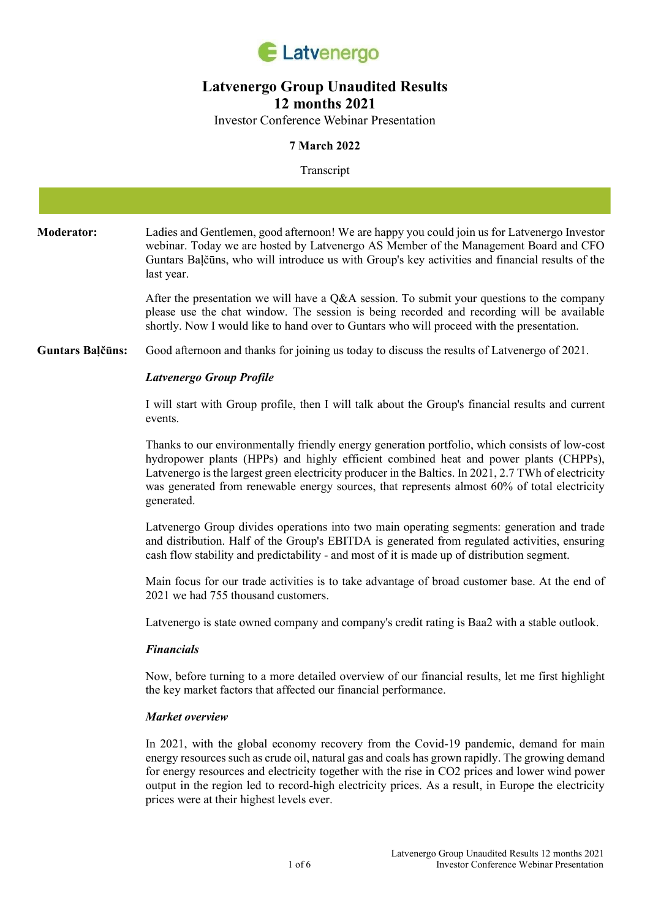

# Latvenergo Group Unaudited Results 12 months 2021

Investor Conference Webinar Presentation

# 7 March 2022

#### Transcript

| <b>Moderator:</b>       | Ladies and Gentlemen, good afternoon! We are happy you could join us for Latvenergo Investor<br>webinar. Today we are hosted by Latvenergo AS Member of the Management Board and CFO<br>Guntars Balčūns, who will introduce us with Group's key activities and financial results of the<br>last year.                                                                                                                                         |
|-------------------------|-----------------------------------------------------------------------------------------------------------------------------------------------------------------------------------------------------------------------------------------------------------------------------------------------------------------------------------------------------------------------------------------------------------------------------------------------|
|                         | After the presentation we will have a $Q\&A$ session. To submit your questions to the company<br>please use the chat window. The session is being recorded and recording will be available<br>shortly. Now I would like to hand over to Guntars who will proceed with the presentation.                                                                                                                                                       |
| <b>Guntars Balčūns:</b> | Good afternoon and thanks for joining us today to discuss the results of Latvenergo of 2021.                                                                                                                                                                                                                                                                                                                                                  |
|                         | <b>Latvenergo Group Profile</b>                                                                                                                                                                                                                                                                                                                                                                                                               |
|                         | I will start with Group profile, then I will talk about the Group's financial results and current<br>events.                                                                                                                                                                                                                                                                                                                                  |
|                         | Thanks to our environmentally friendly energy generation portfolio, which consists of low-cost<br>hydropower plants (HPPs) and highly efficient combined heat and power plants (CHPPs),<br>Latvenergo is the largest green electricity producer in the Baltics. In 2021, 2.7 TWh of electricity<br>was generated from renewable energy sources, that represents almost 60% of total electricity<br>generated.                                 |
|                         | Latvenergo Group divides operations into two main operating segments: generation and trade<br>and distribution. Half of the Group's EBITDA is generated from regulated activities, ensuring<br>cash flow stability and predictability - and most of it is made up of distribution segment.                                                                                                                                                    |
|                         | Main focus for our trade activities is to take advantage of broad customer base. At the end of<br>2021 we had 755 thousand customers.                                                                                                                                                                                                                                                                                                         |
|                         | Latvenergo is state owned company and company's credit rating is Baa2 with a stable outlook.                                                                                                                                                                                                                                                                                                                                                  |
|                         | <b>Financials</b>                                                                                                                                                                                                                                                                                                                                                                                                                             |
|                         | Now, before turning to a more detailed overview of our financial results, let me first highlight<br>the key market factors that affected our financial performance.                                                                                                                                                                                                                                                                           |
|                         | Market overview                                                                                                                                                                                                                                                                                                                                                                                                                               |
|                         | In 2021, with the global economy recovery from the Covid-19 pandemic, demand for main<br>energy resources such as crude oil, natural gas and coals has grown rapidly. The growing demand<br>for energy resources and electricity together with the rise in CO2 prices and lower wind power<br>output in the region led to record-high electricity prices. As a result, in Europe the electricity<br>prices were at their highest levels ever. |
|                         |                                                                                                                                                                                                                                                                                                                                                                                                                                               |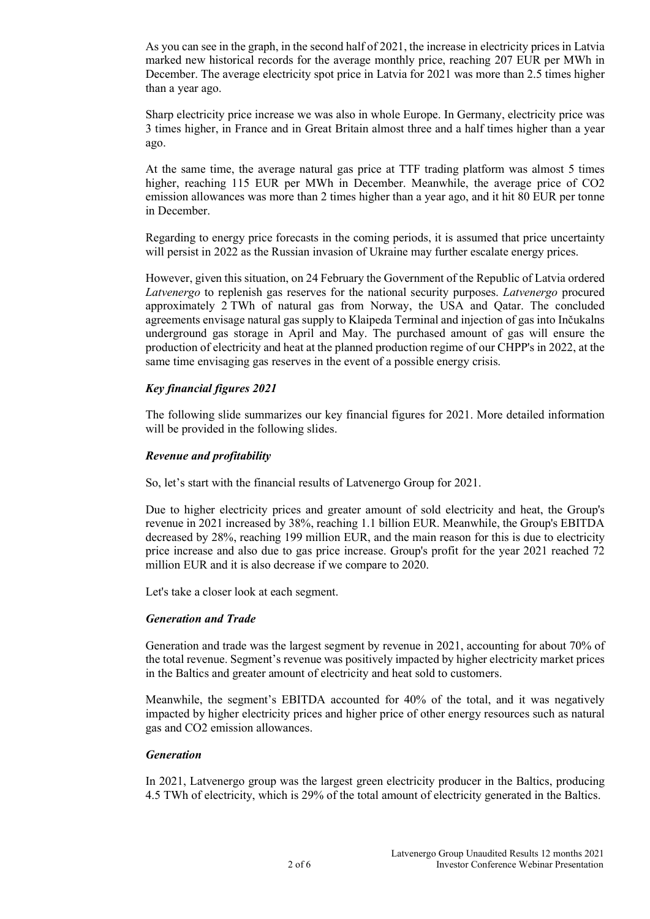As you can see in the graph, in the second half of 2021, the increase in electricity prices in Latvia marked new historical records for the average monthly price, reaching 207 EUR per MWh in December. The average electricity spot price in Latvia for 2021 was more than 2.5 times higher than a year ago.

Sharp electricity price increase we was also in whole Europe. In Germany, electricity price was 3 times higher, in France and in Great Britain almost three and a half times higher than a year ago.

At the same time, the average natural gas price at TTF trading platform was almost 5 times higher, reaching 115 EUR per MWh in December. Meanwhile, the average price of CO2 emission allowances was more than 2 times higher than a year ago, and it hit 80 EUR per tonne in December.

Regarding to energy price forecasts in the coming periods, it is assumed that price uncertainty will persist in 2022 as the Russian invasion of Ukraine may further escalate energy prices.

However, given this situation, on 24 February the Government of the Republic of Latvia ordered Latvenergo to replenish gas reserves for the national security purposes. Latvenergo procured approximately 2 TWh of natural gas from Norway, the USA and Qatar. The concluded agreements envisage natural gas supply to Klaipeda Terminal and injection of gas into Inčukalns underground gas storage in April and May. The purchased amount of gas will ensure the production of electricity and heat at the planned production regime of our CHPP's in 2022, at the same time envisaging gas reserves in the event of a possible energy crisis.

# Key financial figures 2021

The following slide summarizes our key financial figures for 2021. More detailed information will be provided in the following slides.

## Revenue and profitability

So, let's start with the financial results of Latvenergo Group for 2021.

Due to higher electricity prices and greater amount of sold electricity and heat, the Group's revenue in 2021 increased by 38%, reaching 1.1 billion EUR. Meanwhile, the Group's EBITDA decreased by 28%, reaching 199 million EUR, and the main reason for this is due to electricity price increase and also due to gas price increase. Group's profit for the year 2021 reached 72 million EUR and it is also decrease if we compare to 2020.

Let's take a closer look at each segment.

#### Generation and Trade

Generation and trade was the largest segment by revenue in 2021, accounting for about 70% of the total revenue. Segment's revenue was positively impacted by higher electricity market prices in the Baltics and greater amount of electricity and heat sold to customers.

Meanwhile, the segment's EBITDA accounted for 40% of the total, and it was negatively impacted by higher electricity prices and higher price of other energy resources such as natural gas and CO2 emission allowances.

#### Generation

In 2021, Latvenergo group was the largest green electricity producer in the Baltics, producing 4.5 TWh of electricity, which is 29% of the total amount of electricity generated in the Baltics.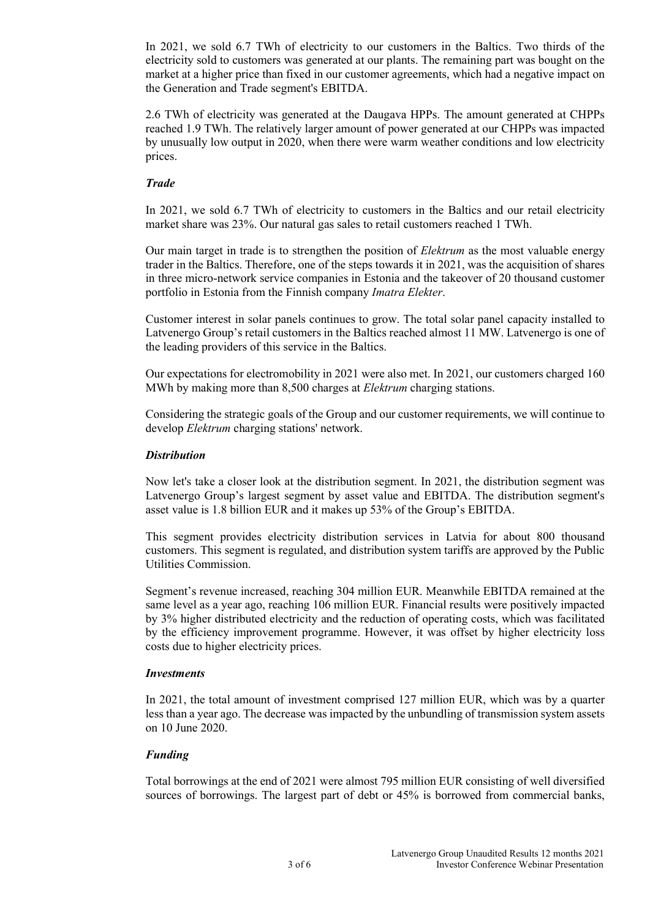In 2021, we sold 6.7 TWh of electricity to our customers in the Baltics. Two thirds of the electricity sold to customers was generated at our plants. The remaining part was bought on the market at a higher price than fixed in our customer agreements, which had a negative impact on the Generation and Trade segment's EBITDA.

2.6 TWh of electricity was generated at the Daugava HPPs. The amount generated at CHPPs reached 1.9 TWh. The relatively larger amount of power generated at our CHPPs was impacted by unusually low output in 2020, when there were warm weather conditions and low electricity prices.

## Trade

In 2021, we sold 6.7 TWh of electricity to customers in the Baltics and our retail electricity market share was 23%. Our natural gas sales to retail customers reached 1 TWh.

Our main target in trade is to strengthen the position of *Elektrum* as the most valuable energy trader in the Baltics. Therefore, one of the steps towards it in 2021, was the acquisition of shares in three micro-network service companies in Estonia and the takeover of 20 thousand customer portfolio in Estonia from the Finnish company Imatra Elekter.

Customer interest in solar panels continues to grow. The total solar panel capacity installed to Latvenergo Group's retail customers in the Baltics reached almost 11 MW. Latvenergo is one of the leading providers of this service in the Baltics.

Our expectations for electromobility in 2021 were also met. In 2021, our customers charged 160 MWh by making more than 8,500 charges at *Elektrum* charging stations.

Considering the strategic goals of the Group and our customer requirements, we will continue to develop Elektrum charging stations' network.

## **Distribution**

Now let's take a closer look at the distribution segment. In 2021, the distribution segment was Latvenergo Group's largest segment by asset value and EBITDA. The distribution segment's asset value is 1.8 billion EUR and it makes up 53% of the Group's EBITDA.

This segment provides electricity distribution services in Latvia for about 800 thousand customers. This segment is regulated, and distribution system tariffs are approved by the Public Utilities Commission.

Segment's revenue increased, reaching 304 million EUR. Meanwhile EBITDA remained at the same level as a year ago, reaching 106 million EUR. Financial results were positively impacted by 3% higher distributed electricity and the reduction of operating costs, which was facilitated by the efficiency improvement programme. However, it was offset by higher electricity loss costs due to higher electricity prices.

#### Investments

In 2021, the total amount of investment comprised 127 million EUR, which was by a quarter less than a year ago. The decrease was impacted by the unbundling of transmission system assets on 10 June 2020.

# Funding

Total borrowings at the end of 2021 were almost 795 million EUR consisting of well diversified sources of borrowings. The largest part of debt or 45% is borrowed from commercial banks,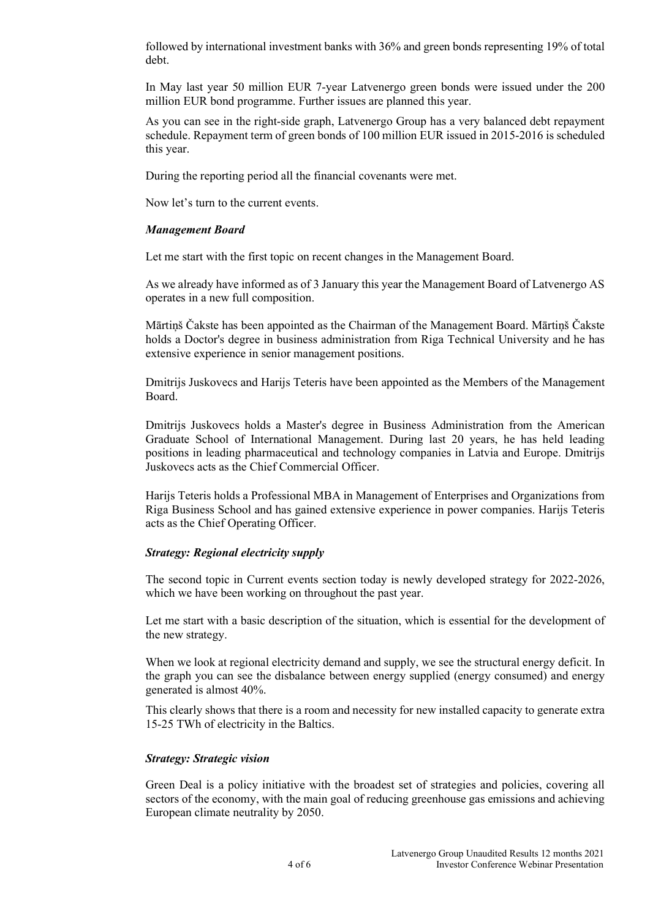followed by international investment banks with 36% and green bonds representing 19% of total debt.

In May last year 50 million EUR 7-year Latvenergo green bonds were issued under the 200 million EUR bond programme. Further issues are planned this year.

As you can see in the right-side graph, Latvenergo Group has a very balanced debt repayment schedule. Repayment term of green bonds of 100 million EUR issued in 2015-2016 is scheduled this year.

During the reporting period all the financial covenants were met.

Now let's turn to the current events.

#### Management Board

Let me start with the first topic on recent changes in the Management Board.

As we already have informed as of 3 January this year the Management Board of Latvenergo AS operates in a new full composition.

Mārtiņš Čakste has been appointed as the Chairman of the Management Board. Mārtiņš Čakste holds a Doctor's degree in business administration from Riga Technical University and he has extensive experience in senior management positions.

Dmitrijs Juskovecs and Harijs Teteris have been appointed as the Members of the Management Board.

Dmitrijs Juskovecs holds a Master's degree in Business Administration from the American Graduate School of International Management. During last 20 years, he has held leading positions in leading pharmaceutical and technology companies in Latvia and Europe. Dmitrijs Juskovecs acts as the Chief Commercial Officer.

Harijs Teteris holds a Professional MBA in Management of Enterprises and Organizations from Riga Business School and has gained extensive experience in power companies. Harijs Teteris acts as the Chief Operating Officer.

#### Strategy: Regional electricity supply

The second topic in Current events section today is newly developed strategy for 2022-2026, which we have been working on throughout the past year.

Let me start with a basic description of the situation, which is essential for the development of the new strategy.

When we look at regional electricity demand and supply, we see the structural energy deficit. In the graph you can see the disbalance between energy supplied (energy consumed) and energy generated is almost 40%.

This clearly shows that there is a room and necessity for new installed capacity to generate extra 15-25 TWh of electricity in the Baltics.

#### Strategy: Strategic vision

Green Deal is a policy initiative with the broadest set of strategies and policies, covering all sectors of the economy, with the main goal of reducing greenhouse gas emissions and achieving European climate neutrality by 2050.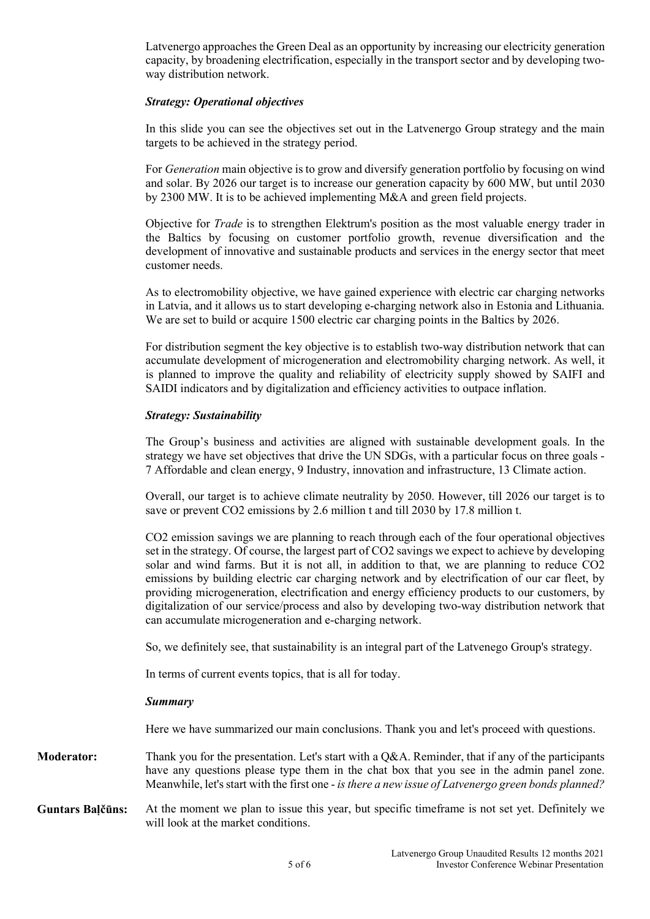Latvenergo approaches the Green Deal as an opportunity by increasing our electricity generation capacity, by broadening electrification, especially in the transport sector and by developing twoway distribution network.

## Strategy: Operational objectives

In this slide you can see the objectives set out in the Latvenergo Group strategy and the main targets to be achieved in the strategy period.

For Generation main objective is to grow and diversify generation portfolio by focusing on wind and solar. By 2026 our target is to increase our generation capacity by 600 MW, but until 2030 by 2300 MW. It is to be achieved implementing M&A and green field projects.

Objective for *Trade* is to strengthen Elektrum's position as the most valuable energy trader in the Baltics by focusing on customer portfolio growth, revenue diversification and the development of innovative and sustainable products and services in the energy sector that meet customer needs.

As to electromobility objective, we have gained experience with electric car charging networks in Latvia, and it allows us to start developing e-charging network also in Estonia and Lithuania. We are set to build or acquire 1500 electric car charging points in the Baltics by 2026.

For distribution segment the key objective is to establish two-way distribution network that can accumulate development of microgeneration and electromobility charging network. As well, it is planned to improve the quality and reliability of electricity supply showed by SAIFI and SAIDI indicators and by digitalization and efficiency activities to outpace inflation.

# Strategy: Sustainability

The Group's business and activities are aligned with sustainable development goals. In the strategy we have set objectives that drive the UN SDGs, with a particular focus on three goals - 7 Affordable and clean energy, 9 Industry, innovation and infrastructure, 13 Climate action.

Overall, our target is to achieve climate neutrality by 2050. However, till 2026 our target is to save or prevent CO2 emissions by 2.6 million t and till 2030 by 17.8 million t.

CO2 emission savings we are planning to reach through each of the four operational objectives set in the strategy. Of course, the largest part of CO2 savings we expect to achieve by developing solar and wind farms. But it is not all, in addition to that, we are planning to reduce CO2 emissions by building electric car charging network and by electrification of our car fleet, by providing microgeneration, electrification and energy efficiency products to our customers, by digitalization of our service/process and also by developing two-way distribution network that can accumulate microgeneration and e-charging network.

So, we definitely see, that sustainability is an integral part of the Latvenego Group's strategy.

In terms of current events topics, that is all for today.

#### Summary

Here we have summarized our main conclusions. Thank you and let's proceed with questions.

- Moderator: Thank you for the presentation. Let's start with a Q&A. Reminder, that if any of the participants have any questions please type them in the chat box that you see in the admin panel zone. Meanwhile, let's start with the first one - is there a new issue of Latvenergo green bonds planned?
- Guntars Balčūns: At the moment we plan to issue this year, but specific timeframe is not set yet. Definitely we will look at the market conditions.